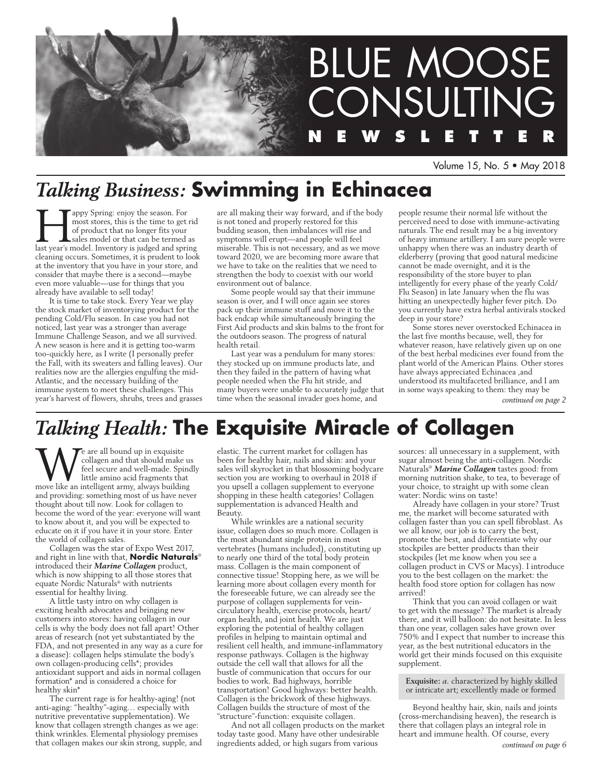

Volume 15, No. 5 • May 2018

# *Talking Business:* **Swimming in Echinacea**

**Happy Spring: enjoy the season. For** most stores, this is the time to get rid of product that no longer fits your slates model or that can be termed as last year's model. Inventory is judged and spring most stores, this is the time to get rid of product that no longer fits your sales model or that can be termed as cleaning occurs. Sometimes, it is prudent to look at the inventory that you have in your store, and consider that maybe there is a second—maybe even more valuable—use for things that you already have available to sell today!

It is time to take stock. Every Year we play the stock market of inventorying product for the pending Cold/Flu season. In case you had not noticed, last year was a stronger than average Immune Challenge Season, and we all survived. A new season is here and it is getting too-warm too-quickly here, as I write (I personally prefer the Fall, with its sweaters and falling leaves). Our realities now are the allergies engulfing the mid-Atlantic, and the necessary building of the immune system to meet these challenges. This year's harvest of flowers, shrubs, trees and grasses are all making their way forward, and if the body is not toned and properly restored for this budding season, then imbalances will rise and symptoms will erupt—and people will feel miserable. This is not necessary, and as we move toward 2020, we are becoming more aware that we have to take on the realities that we need to strengthen the body to coexist with our world environment out of balance.

Some people would say that their immune season is over, and I will once again see stores pack up their immune stuff and move it to the back endcap while simultaneously bringing the First Aid products and skin balms to the front for the outdoors season. The progress of natural health retail.

Last year was a pendulum for many stores: they stocked up on immune products late, and then they failed in the pattern of having what people needed when the Flu hit stride, and many buyers were unable to accurately judge that time when the seasonal invader goes home, and

people resume their normal life without the perceived need to dose with immune-activating naturals. The end result may be a big inventory of heavy immune artillery. I am sure people were unhappy when there was an industry dearth of elderberry (proving that good natural medicine cannot be made overnight, and it is the responsibility of the store buyer to plan intelligently for every phase of the yearly Cold/ Flu Season) in late January when the flu was hitting an unexpectedly higher fever pitch. Do you currently have extra herbal antivirals stocked deep in your store?

Some stores never overstocked Echinacea in the last five months because, well, they for whatever reason, have relatively given up on one of the best herbal medicines ever found from the plant world of the American Plains. Other stores have always appreciated Echinacea ,and understood its multifaceted brilliance, and I am in some ways speaking to them: they may be

*continued on page 2*

# *Talking Health:* **The Exquisite Miracle of Collagen**

We are all bound up in exquisite<br>
feel secure and well-made. Spince<br>
little amino acid fragments that<br>
move like an intelligent army, always building collagen and that should make us feel secure and well-made. Spindly little amino acid fragments that and providing: something most of us have never thought about till now. Look for collagen to become the word of the year: everyone will want to know about it, and you will be expected to educate on it if you have it in your store. Enter the world of collagen sales.

Collagen was the star of Expo West 2017, and right in line with that, **Nordic Naturals**® introduced their *Marine Collagen* product, which is now shipping to all those stores that equate Nordic Naturals® with nutrients essential for healthy living.

A little tasty intro on why collagen is exciting health advocates and bringing new customers into stores: having collagen in our cells is why the body does not fall apart! Other areas of research (not yet substantiated by the FDA, and not presented in any way as a cure for a disease): collagen helps stimulate the body's own collagen-producing cells\*; provides antioxidant support and aids in normal collagen formation\* and is considered a choice for healthy skin\*

The current rage is for healthy-aging! (not anti-aging: "healthy"-aging… especially with nutritive preventative supplementation). We know that collagen strength changes as we age: think wrinkles. Elemental physiology premises that collagen makes our skin strong, supple, and elastic. The current market for collagen has been for healthy hair, nails and skin: and your sales will skyrocket in that blossoming bodycare section you are working to overhaul in 2018 if you upsell a collagen supplement to everyone shopping in these health categories! Collagen supplementation is advanced Health and Beauty.

While wrinkles are a national security issue, collagen does so much more. Collagen is the most abundant single protein in most vertebrates (humans included), constituting up to nearly one third of the total body protein mass. Collagen is the main component of connective tissue! Stopping here, as we will be learning more about collagen every month for the foreseeable future, we can already see the purpose of collagen supplements for veincirculatory health, exercise protocols, heart/ organ health, and joint health. We are just exploring the potential of healthy collagen profiles in helping to maintain optimal and resilient cell health, and immune-inflammatory response pathways. Collagen is the highway outside the cell wall that allows for all the bustle of communication that occurs for our bodies to work. Bad highways, horrible transportation! Good highways: better health. Collagen is the brickwork of these highways. Collagen builds the structure of most of the "structure"-function: exquisite collagen.

And not all collagen products on the market today taste good. Many have other undesirable ingredients added, or high sugars from various

sources: all unnecessary in a supplement, with sugar almost being the anti-collagen. Nordic Naturals® *Marine Collagen* tastes good: from morning nutrition shake, to tea, to beverage of your choice, to straight up with some clean water: Nordic wins on taste!

Already have collagen in your store? Trust me, the market will become saturated with collagen faster than you can spell fibroblast. As we all know, our job is to carry the best, promote the best, and differentiate why our stockpiles are better products than their stockpiles (let me know when you see a collagen product in CVS or Macys). I introduce you to the best collagen on the market: the health food store option for collagen has now arrived!

Think that you can avoid collagen or wait to get with the message? The market is already there, and it will balloon: do not hesitate. In less than one year, collagen sales have grown over 750% and I expect that number to increase this year, as the best nutritional educators in the world get their minds focused on this exquisite supplement.

**Exquisite:** *a.* characterized by highly skilled or intricate art; excellently made or formed

Beyond healthy hair, skin, nails and joints (cross-merchandising heaven), the research is there that collagen plays an integral role in heart and immune health. Of course, every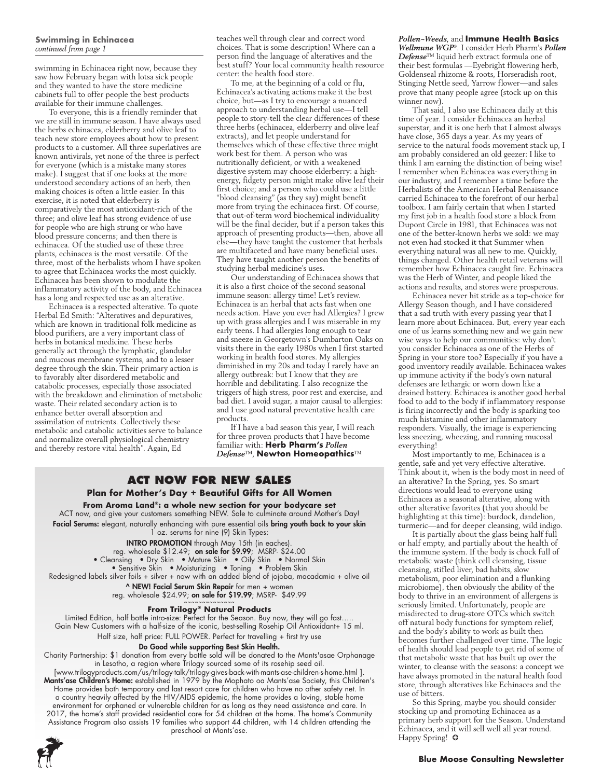#### **Swimming in Echinacea**  *continued from page 1*

swimming in Echinacea right now, because they saw how February began with lotsa sick people and they wanted to have the store medicine cabinets full to offer people the best products available for their immune challenges.

To everyone, this is a friendly reminder that we are still in immune season. I have always used the herbs echinacea, elderberry and olive leaf to teach new store employees about how to present products to a customer. All three superlatives are known antivirals, yet none of the three is perfect for everyone (which is a mistake many stores make). I suggest that if one looks at the more understood secondary actions of an herb, then making choices is often a little easier. In this exercise, it is noted that elderberry is comparatively the most antioxidant-rich of the three; and olive leaf has strong evidence of use for people who are high strung or who have blood pressure concerns; and then there is echinacea. Of the studied use of these three plants, echinacea is the most versatile. Of the three, most of the herbalists whom I have spoken to agree that Echinacea works the most quickly. Echinacea has been shown to modulate the inflammatory activity of the body, and Echinacea has a long and respected use as an alterative.

Echinacea is a respected alterative. To quote Herbal Ed Smith: "Alteratives and depuratives, which are known in traditional folk medicine as blood purifiers, are a very important class of herbs in botanical medicine. These herbs generally act through the lymphatic, glandular and mucous membrane systems, and to a lesser degree through the skin. Their primary action is to favorably alter disordered metabolic and catabolic processes, especially those associated with the breakdown and elimination of metabolic waste. Their related secondary action is to enhance better overall absorption and assimilation of nutrients. Collectively these metabolic and catabolic activities serve to balance and normalize overall physiological chemistry and thereby restore vital health". Again, Ed

teaches well through clear and correct word choices. That is some description! Where can a person find the language of alteratives and the best stuff? Your local community health resource center: the health food store.

To me, at the beginning of a cold or flu, Echinacea's activating actions make it the best choice, but—as I try to encourage a nuanced approach to understanding herbal use—I tell people to story-tell the clear differences of these three herbs (echinacea, elderberry and olive leaf extracts), and let people understand for themselves which of these effective three might work best for them. A person who was nutritionally deficient, or with a weakened digestive system may choose elderberry: a highenergy, fidgety person might make olive leaf their first choice; and a person who could use a little "blood cleansing" (as they say) might benefit more from trying the echinacea first. Of course, that out-of-term word biochemical individuality will be the final decider, but if a person takes this approach of presenting products—then, above all else—they have taught the customer that herbals are multifaceted and have many beneficial uses. They have taught another person the benefits of studying herbal medicine's uses.

Our understanding of Echinacea shows that it is also a first choice of the second seasonal immune season: allergy time! Let's review. Echinacea is an herbal that acts fast when one needs action. Have you ever had Allergies? I grew up with grass allergies and I was miserable in my early teens. I had allergies long enough to tear and sneeze in Georgetown's Dumbarton Oaks on visits there in the early 1980s when I first started working in health food stores. My allergies diminished in my 20s and today I rarely have an allergy outbreak: but I know that they are horrible and debilitating. I also recognize the triggers of high stress, poor rest and exercise, and bad diet. I avoid sugar, a major causal to allergies: and I use good natural preventative health care products.

If I have a bad season this year, I will reach for three proven products that I have become familiar with: **Herb Pharm's** *Pollen Defense*™, **Newton Homeopathics**™

# **ACT NOW for new sales**

#### **Plan for Mother's Day + Beautiful Gifts for All Women**

**From Aroma Land®: a whole new section for your bodycare set** ACT now, and give your customers something NEW. Sale to culminate around Mother's Day! **Facial Serums:** elegant, naturally enhancing with pure essential oils **bring youth back to your skin** 1 oz. serums for nine (9) Skin Types:

INTRO PROMOTION through May 15th (in eaches).

reg. wholesale \$12.49; **on sale for \$9.99**; MSRP- \$24.00

• Cleansing • Dry Skin • Mature Skin • Oily Skin • Normal Skin

• Sensitive Skin • Moisturizing • Toning • Problem Skin

Redesigned labels silver foils + silver + now with an added blend of jojoba, macadamia + olive oil ^ NEW! Facial Serum Skin Repair for men + women

reg. wholesale \$24.99; on sale for \$19.99; MSRP- \$49.99

#### **From Trilogy® Natural Products**

Limited Edition, half bottle intro-size: Perfect for the Season. Buy now, they will go fast….. Gain New Customers with a half-size of the iconic, best-selling Rosehip Oil Antioxidant+ 15 ml.

Half size, half price: FULL POWER. Perfect for travelling + first try use

#### Do Good while supporting Best Skin Health.

Charity Partnership: \$1 donation from every bottle sold will be donated to the Mants'asae Orphanage in Lesotho, a region where Trilogy sourced some of its rosehip seed oil. [www.trilogyproducts.com/us/trilogy-talk/trilogy-gives-back-with-mants-ase-children-s-home.html ]. Mants'ase Children's Home: established in 1979 by the Mophato oa Mants'ase Society, this Children's Home provides both temporary and last resort care for children who have no other safety net. In a country heavily affected by the HIV/AIDS epidemic, the home provides a loving, stable home environment for orphaned or vulnerable children for as long as they need assistance and care. In 2017, the home's staff provided residential care for 54 children at the home. The home's Community Assistance Program also assists 19 families who support 44 children, with 14 children attending the preschool at Mants'ase.



*Pollen~Weeds*, and **Immune Health Basics** *Wellmune WGP*®. I consider Herb Pharm's *Pollen Defense*™ liquid herb extract formula one of their best formulas —Eyebright flowering herb, Goldenseal rhizome & roots, Horseradish root, Stinging Nettle seed, Yarrow flower—and sales prove that many people agree (stock up on this winner now).

That said, I also use Echinacea daily at this time of year. I consider Echinacea an herbal superstar, and it is one herb that I almost always have close, 365 days a year. As my years of service to the natural foods movement stack up, I am probably considered an old geezer: I like to think I am earning the distinction of being wise! I remember when Echinacea was everything in our industry, and I remember a time before the Herbalists of the American Herbal Renaissance carried Echinacea to the forefront of our herbal toolbox. I am fairly certain that when I started my first job in a health food store a block from Dupont Circle in 1981, that Echinacea was not one of the better-known herbs we sold: we may not even had stocked it that Summer when everything natural was all new to me. Quickly, things changed. Other health retail veterans will remember how Echinacea caught fire. Echinacea was the Herb of Winter, and people liked the actions and results, and stores were prosperous.

Echinacea never hit stride as a top-choice for Allergy Season though, and I have considered that a sad truth with every passing year that I learn more about Echinacea. But, every year each one of us learns something new and we gain new wise ways to help our communities: why don't you consider Echinacea as one of the Herbs of Spring in your store too? Especially if you have a good inventory readily available. Echinacea wakes up immune activity if the body's own natural defenses are lethargic or worn down like a drained battery. Echinacea is another good herbal food to add to the body if inflammatory response is firing incorrectly and the body is sparking too much histamine and other inflammatory responders. Visually, the image is experiencing less sneezing, wheezing, and running mucosal everything!

Most importantly to me, Echinacea is a gentle, safe and yet very effective alterative. Think about it, when is the body most in need of an alterative? In the Spring, yes. So smart directions would lead to everyone using Echinacea as a seasonal alterative, along with other alterative favorites (that you should be highlighting at this time): burdock, dandelion, turmeric—and for deeper cleansing, wild indigo.

It is partially about the glass being half full or half empty, and partially about the health of the immune system. If the body is chock full of metabolic waste (think cell cleansing, tissue cleansing, stifled liver, bad habits, slow metabolism, poor elimination and a flunking microbiome), then obviously the ability of the body to thrive in an environment of allergens is seriously limited. Unfortunately, people are misdirected to drug-store OTCs which switch off natural body functions for symptom relief, and the body's ability to work as built then becomes further challenged over time. The logic of health should lead people to get rid of some of that metabolic waste that has built up over the winter, to cleanse with the seasons: a concept we have always promoted in the natural health food store, through alteratives like Echinacea and the use of bitters.

So this Spring, maybe you should consider stocking up and promoting Echinacea as a primary herb support for the Season. Understand Echinacea, and it will sell well all year round. Happy Spring! ❂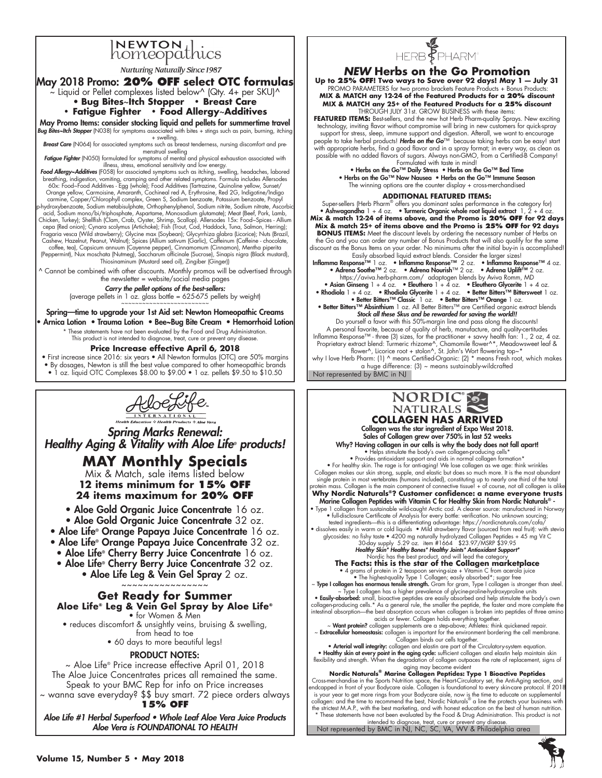# INEWTON thics

**Nurturing Naturally Since 1987** 

#### May 2018 Promo: **20% OFF select OTC formulas**

 $\sim$  Liquid or Pellet complexes listed below^ (Qty. 4+ per SKU)^ • **Bug Bites**~**Itch Stopper • Breast Care** 

#### **• Fatigue Fighter • Food Allergy**~**Additives**

May Promo Items: consider stocking liquid and pellets for summertime travel *Bug Bites~Itch Stopper* (N038) for symptoms associated with bites + stings such as pain, burning, itching

+ swelling. *Breast Care* (N064) for associated symptoms such as breast tenderness, nursing discomfort and premenstrual swelling

**Fatigue Fighter** (N050) formulated for symptoms of mental and physical exhaustion associated with<br>**Food Allergy~Additives** [illness, stress, emotional sensitivity and low energy.<br>**Food Allergy~Additives** [illness, stress,

carmine, Copper/Chlorophyll complex, Green S, Sodium benzoate, Potassium benzoate, Propyl<br>p-hydroxybenzoate, Sodium metabisulphate, Orthophenylphenol, Sodium nitrite, Sodium nitrate, Ascorbic<br>| acid, Sodium mono/bi/triphos Chicken, Turkey); Shellfish (Clam, Crab, Oyster, Shrimp, Scallop). Allersodes 15x: Food~Spices - Allium<br>cepa (Red onion); Cynara scolymus (Artichoke); Fish (Trout, Cod, Haddock, Tuna, Salmon, Herring);<br>Fragaria vesca (Wild Cashew, Hazelnut, Peanut, Walnut); Spices (Allium sativum (Garlic), Caffeinum (Caffeine - chocolate,

coffee, tea), Capsicum annuum (Cayenne pepper), Cinnamomum (Cinnamon), Mentha piperita (Peppermint), Nux moschata (Nutmeg), Saccharum officinale (Sucrose), Sinapis nigra (Black mustard), Thiosinaminum (Mustard seed oil), Zingiber (Ginger))

^ Cannot be combined with other discounts. Monthly promos will be advertised through the newsletter = website/social media pages

#### *Carry the pellet options of the best-sellers:*

(average pellets in 1 oz. glass bottle =  $625-675$  pellets by weight)

Spring-time to upgrade your 1st Aid set: Newton Homeopathic Creams • Arnica Lotion • Trauma Lotion • Bee~Bug Bite Cream • Hemorrhoid Lotion

These statements have not been evaluated by the Food and Drug Administration. This product is not intended to diagnose, treat, cure or prevent any disease.

#### **Price Increase effective April 6, 2018**

• First increase since 2016: six years • All Newton formulas (OTC) are 50% margins • By dosages, Newton is still the best value compared to other homeopathic brands • 1 oz. liquid OTC Complexes \$8.00 to \$9.00 • 1 oz. pellets \$9.50 to \$10.50



*Spring Marks Renewal: Healthy Aging & Vitality with Aloe Life® products!*

# **MAY Monthly Specials**

Mix & Match, sale items listed below **12 items minimum for 15% OFF 24 items maximum for 20% OFF**

• Aloe Gold Organic Juice Concentrate 16 oz. • Aloe Gold Organic Juice Concentrate 32 oz.

- Aloe Life® Orange Papaya Juice Concentrate 16 oz.
- Aloe Life® Orange Papaya Juice Concentrate 32 oz.
	- Aloe Life® Cherry Berry Juice Concentrate 16 oz.
	- Aloe Life® Cherry Berry Juice Concentrate 32 oz.
		- Aloe Life Leg & Vein Gel Spray 2 oz. ~~~~~~~~~~~~~~~~

#### **Get Ready for Summer Aloe Life® Leg & Vein Gel Spray by Aloe Life®**

• for Women & Men

- reduces discomfort & unsightly veins, bruising & swelling, from head to toe
	- 60 days to more beautiful legs!

#### PRODUCT NOTES:

~ Aloe Life® Price increase effective April 01, 2018 The Aloe Juice Concentrates prices all remained the same. Speak to your BMC Rep for info on Price increases ~ wanna save everyday? \$\$ buy smart. 72 piece orders always

#### **15% OF**

Aloe Life #1 Herbal Superfood • Whole Leaf Aloe Vera Juice Products *Aloe Vera is FOUNDATIONAL TO HEALTH* 



### *NEW* **Herbs on the Go Promotion**

**Up to 25% off! Two ways to Save over 92 days! May 1 — July 31**  PROMO PARAMETERS for two promo brackets Feature Products + Bonus Products: **MIX & MATCH any 12-24 of the Featured Products for a 20% discount MIX & MATCH any 25+ of the Featured Products for a 25% discount**  THROUGH JULY 31st. GROW BUSINESS with these items:

FEATURED ITEMS: Best-sellers, and the new hot Herb Pharm-quality Sprays. New exciting technology, inviting flavor without compromise will bring in new customers for quick-spray<br>support for stress, sleep, immune support and digestion. Afterall, we want to encourage<br>people to take herbal products! **Herbs on** with appropriate herbs, find a good flavor and in a spray format; in every way, as clean as possible with no added flavors of sugars. Always non-GMO, from a Certified-B Company!

Formulated with taste in mind!<br>• Herbs on the Go™ Daily Stress • Herbs on the Go™ Bed Time<br>• Herbs on the Go™ Now Nausea • Herbs on the Go™ Immune Season The winning options are the counter display + cross-merchandised

#### **ADDITIONAL Featured Items:**

Super-sellers (Herb Pharm® offers you dominant sales performance in the category for)<br>• Ashwagandha 1 + 4 oz. • Turmeric Organic whole root liquid extract 1, 2 + 4 oz.<br>Mix & match 12-24 of items above, and the Promo is 20 **Mix & match 25+ of items above and the Promo is 25% off for 92 days BONUS ITEMS:** Meet the discount levels by ordering the necessary number of Herbs on the Go and you can order any number of Bonus Products that will also qualify for the same discount as the Bonus Items on your order. No minimums after the initial buy-in is accomplished! Easily absorbed liquid extract blends. Consider the larger sizes!<br>Inflamma Response™ 1 oz. • Inflamma Response™ 2 oz. • Inflamma Response™ 4 oz.<br>• Adrena Soothe™ 2 oz. • Adrena Nourish™ 2 oz. • Adrena Uplift™ 2 oz. https://aviva.herb-pharm.com/ adaptogen blends by Aviva Romm, MD • Asian Ginseng 1 + 4 oz. • Eleuthero 1 + 4 oz. • Eleuthero Glycerite 1 + 4 oz.<br>• Rhodiola I + 4 oz. • Benter Bitters T<sup>on</sup> Bitters There is the Research of the set of the Section of the Section of the Section of the Sect *Stock all these Skus and be rewarded for saving the world!!* Do yourself a favor with this 50%-margin line and pass along the discounts! A personal favorite, because of quality of herb, manufacture, and quality-certitudes Inflamma Response™ - three (3) sizes, for the practitioner + savvy health fan: 1., 2 oz, 4 oz. Proprietary extract blend: Turmeric rhizome^, Chamomile flower^\*, Meadowsweet leaf &<br>flower^, Licorice root + stolon^, St. John's Wort flowering top~\*<br>why I love Herb Pharm: (1) ^ means Certified-Organic: (2) \* means Fres a huge difference: (3) ~ means sustainably-wildcrafted

Not represented by BMC in NJ

# NORDIC®S-**COLLAGEN HAS ARRIVED**

Collagen was the star ingredient of Expo West 2018. Sales of Collagen grew over 750% in last 52 weeks

Why? Having collagen in our cells is why the body does not fall apart! • Helps stimulate the body's own collagen-producing cells\* • Provides antioxidant support and aids in normal collagen formation\* • For healthy skin. The rage is for anti-aging! We lose collagen as we age: think wrinkles Collagen makes our skin strong, supple, and elastic but does so much more. It is the most abundant single protein in most vertebrates (humans included), constituting up to nearly one third of the total protein mass. Collagen is the main component of connective tissue! + of course, not all collagen is alike

**Why Nordic Naturals®? Customer confidence: a name everyone trusts**  Marine Collagen Peptides with Vitamin C for Healthy Skin from Nordic Naturals® - • Type 1 collagen from sustainable wild-caught Arctic cod. A cleaner source: manufactured in Norway • full-disclosure Certificate of Analysis for every bottle: verification. No unknown sourcing;

tested ingredients—this is a differentiating advantage: https://nordicnaturals.com/cofa/<br>• dissolves easily in warm or cold liquids • Mild strawberry flavor (sourced from real fruit): with stevia<br>glycosides: no fishy taste

# • 4 grams of protein in 2 teaspoon serving-size + Vitamin C from acerola juice

• The highest-quality Type 1 Collagen; easily absorbed\*; sugar free<br>
• Type 1 collagen has a higher prevalence of glycine-proline-hydroxyproline units<br>
• Easily-absorbed: small, bioactive peptides are easily absorbed and h acids or fewer. Collagen holds everything together.<br>M**ant protein?** collagen supplements are a step-above; Athletes: think quickened repair. ~

**Extracellular homeostasis:** collagen is important for the environment bordering the cell membrane.<br>Collagen binds our cells together.<br>• Arterial wall integrity: collagen and elastin are part of the Circulatory-system equa

• **Healthy skin at every point in the aging cycle:** sufficient collagen and elastin help maintain skin<br>flexibility and strength. When the degradation of collagen outpaces the rate of replacement, signs of<br>aging may become

**Nordic Naturals® Marine Collagen Peptides: Type 1 Bioactive Peptides**  Cross-merchandise in the Sports Nutrition space, the Heart-Circulatory set, the Anti-Aging section, and endcapped in front of your Bodycare aisle. Collagen is foundational to every skin-care protocol. If 2018 is your year to get more rings from your Bodycare aisle, now is the time to educate on supplemental<br>collagen: and the time to recommend the best, Nordic Naturals® a line the protects your business with<br>the strictest M.A.P. \* These statements have not been evaluated by the Food & Drug Administration. This product is not

intended to diagnose, treat, cure or prevent any disease.<br>Not represented by BMC in NJ, NC, SC, VA, WV & Philadelphia area

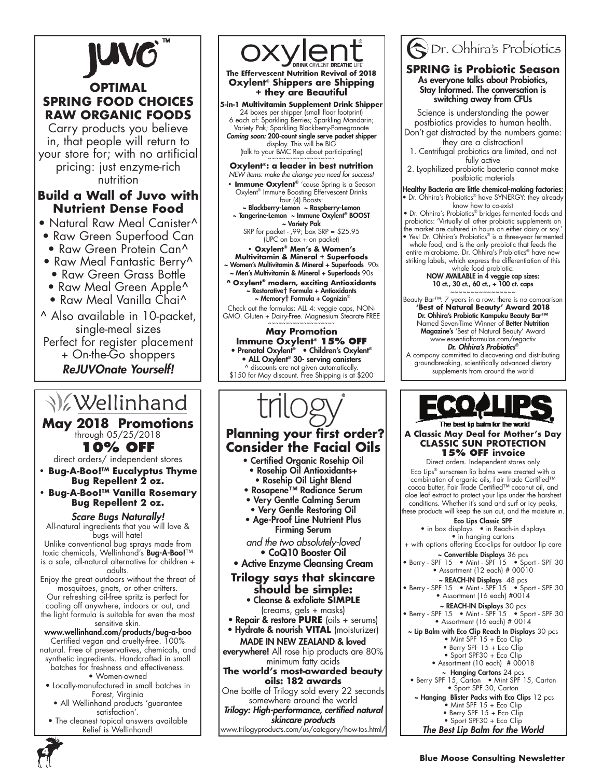

# **OPTIMAL SPRING FOOD CHOICES RAW ORGANIC FOODS**

Carry products you believe in, that people will return to your store for; with no artificial pricing: just enzyme-rich nutrition

### **Build a Wall of Juvo with Nutrient Dense Food**

- Natural Raw Meal Canister<sup>^</sup>
- Raw Green Superfood Can
- Raw Green Protein Can^
- Raw Meal Fantastic Berry<sup>^</sup> • Raw Green Grass Bottle
- Raw Meal Green Apple<sup>^</sup>
- Raw Meal Vanilla Chai^
- 
- ^ Also available in 10-packet, single-meal sizes Perfect for register placement + On-the-Go shoppers ReJUVOnate Yourself!

**Wellinhand** 

**May 2018 Promotions 10% OFF** 

direct orders/ independent stores

- **Bug-A-Boo!™ Eucalyptus Thyme Bug Repellent 2 oz.**
- **Bug-A-Boo!™ Vanilla Rosemary Bug Repellent 2 oz.**

### *Scare Bugs Naturally!*

All-natural ingredients that you will love & bugs will hate!

Unlike conventional bug sprays made from toxic chemicals, Wellinhand's Bug-A-Boo!™ is a safe, all-natural alternative for children + adults.

Enjoy the great outdoors without the threat of mosquitoes, gnats, or other critters. Our refreshing oil-free spritz is perfect for cooling off anywhere, indoors or out, and the light formula is suitable for even the most sensitive skin.

#### www.wellinhand.com/products/bug-a-boo Certified vegan and cruelty-free. 100%

natural. Free of preservatives, chemicals, and synthetic ingredients. Handcrafted in small batches for freshness and effectiveness.

- Women-owned
- Locally-manufactured in small batches in Forest, Virginia
	- All Wellinhand products 'guarantee satisfaction'.
- The cleanest topical answers available Relief is Wellinhand!



**The Effervescent Nutrition Revival of 2018 Oxylent® Shippers are Shipping + they are Beautiful**

#### **5-in-1 Multivitamin Supplement Drink Shipper**

24 boxes per shipper (small floor footprint) 6 each of: Sparkling Berries; Sparkling Mandarin; Variety Pak; Sparkling Blackberry-Pomegranate *Coming soon:* 200-count single serve packet shipper display. This will be BIG (talk to your BMC Rep about participating) ~~~~~~~~~~~~~~~~~~~

# **Oxylent®: a leader in best nutrition**

*NEW items: make the change you need for success!* **• Immune Oxylent<sup>®</sup>** 'cause Spring is a Season<br>Oxylent® Immune Boosting Effervescent Drinks four (4) Boosts:

~ Blackberry-Lemon ~ Raspberry-Lemon ~ Tangerine-Lemon ~ Immune Oxylent® BOOST ~ Variety Pak

SRP for packet - ,99; box SRP = \$25.95 (UPC on box + on packet)

**• Oxylent® Men's & Women's Multivitamin & Mineral + Superfoods** 

~ Women's Multivitamin & Mineral + Superfoods 90s ~ Men's Multivitamin & Mineral + Superfoods 90s

**^ Oxylent® modern, exciting Antioxidants** ~ Restorative† Formula + Antioxidants

~ Memory† Formula + Cognizin®

Check out the formulas: ALL 4: veggie caps, NON-GMO. Gluten + Dairy-Free. Magnesium Stearate FREE

**May Promotion Immune Oxylent® 15% OF** • Prenatal Oxylent® • Children's Oxylent® • ALL Oxylent® 30- serving canisters ^ discounts are not given automatically. \$150 for May discount. Free Shipping is at \$200

# **Planning your first order? Consider the Facial Oils**

- Certified Organic Rosehip Oil
	- Rosehip Oil Antioxidants+ • Rosehip Oil Light Blend
- Rosapene™ Radiance Serum
- Very Gentle Calming Serum
- Very Gentle Restoring Oil
- Age-Proof Line Nutrient Plus Firming Serum

*and the two absolutely-loved* • CoQ10 Booster Oil

#### • Active Enzyme Cleansing Cream

### **Trilogy says that skincare should be simple:**

• Cleanse & exfoliate **SIMPLE**  (creams, gels + masks)

• Repair & restore **PURE** (oils + serums) • Hydrate & nourish **VITAL** (moisturizer)

MADE IN NEW ZEALAND & loved

everywhere! All rose hip products are 80% minimum fatty acids

**The world's most-awarded beauty oils: 182 awards**

One bottle of Trilogy sold every 22 seconds somewhere around the world

*Trilogy: High-performance, certified natural skincare products* 

# www.trilogyproducts.com/us/category/how-tos.html/



#### **SPRING is Probiotic Season** As everyone talks about Probiotics, Stay Informed. The conversation is switching away from CFUs

Science is understanding the power postbiotics provides to human health. Don't get distracted by the numbers game: they are a distraction!

1. Centrifugal probiotics are limited, and not fully active

2. Lyophilized probiotic bacteria cannot make postbiotic materials

Healthy Bacteria are little chemical-making factories: • Dr. Ohhira's Probiotics® have SYNERGY: they already know how to co-exist

• Dr. Ohhira's Probiotics® bridges fermented foods and probiotics: 'Virtually all other probiotic supplements on the market are cultured in hours on either dairy or soy.'

• Yes! Dr. Ohhira's Probiotics® is a three-year fermented whole food, and is the only probiotic that feeds the entire microbiome. Dr. Ohhira's Probiotics® have new striking labels, which express the differentiation of this whole food probiotic.

NOW AVAILABLE in 4 veggie cap sizes: 10 ct., 30 ct., 60 ct., + 100 ct. caps ~~~~~~~~~~~~~~~~

Beauty Bar™: 7 years in a row: there is no comparison **'Best of Natural Beauty' Award 2018**  Dr. Ohhira's Probiotic Kampuku Beauty Bar™ Named Seven-Time Winner of Better Nutrition Magazine's 'Best of Natural Beauty' Award www.essentialformulas.com/regactiv

Dr. Ohhira's Probiotics*®*

A company committed to discovering and distributing groundbreaking, scientifically advanced dietary supplements from around the world



The best in baim for the world **A Classic May Deal for Mother's Day CLASSIC SUN PROTECTION 15% Off invoice**

Direct orders. Independent stores only Eco Lips® sunscreen lip balms were created with a combination of organic oils, Fair Trade Certified™ cocoa butter, Fair Trade Certified™ coconut oil, and aloe leaf extract to protect your lips under the harshest conditions. Whether it's sand and surf or icy peaks, these products will keep the sun out, and the moisture in.

Eco Lips Classic SPF

• in box displays • in Reach-in displays • in hanging cartons

+ with options offering Eco-clips for outdoor lip care ~ Convertible Displays 36 pcs

- Berry SPF 15 Mint SPF 15 Sport SPF 30 • Assortment (12 each) # 00010
	- ~ REACH-IN Displays 48 pcs
- Berry SPF 15 Mint SPF 15 Sport SPF 30 • Assortment (16 each) #0014

~ REACH-IN Displays 30 pcs

• Berry - SPF 15 • Mint - SPF 15 • Sport - SPF 30 • Assortment (16 each) # 0014

~ Lip Balm with Eco Clip Reach In Displays 30 pcs • Mint SPF 15 + Eco Clip • Berry SPF 15 + Eco Clip • Sport SPF30 + Eco Clip

• Assortment (10 each) # 00018

- ~ Hanging Cartons 24 pcs • Berry SPF 15, Carton • Mint SPF 15, Carton
- Sport SPF 30, Carton ~ Hanging Blister Packs with Eco Clips 12 pcs • Mint SPF 15 + Eco Clip

• Berry SPF 15 + Eco Clip • Sport SPF30 + Eco Clip

The Best Lip Balm for the World

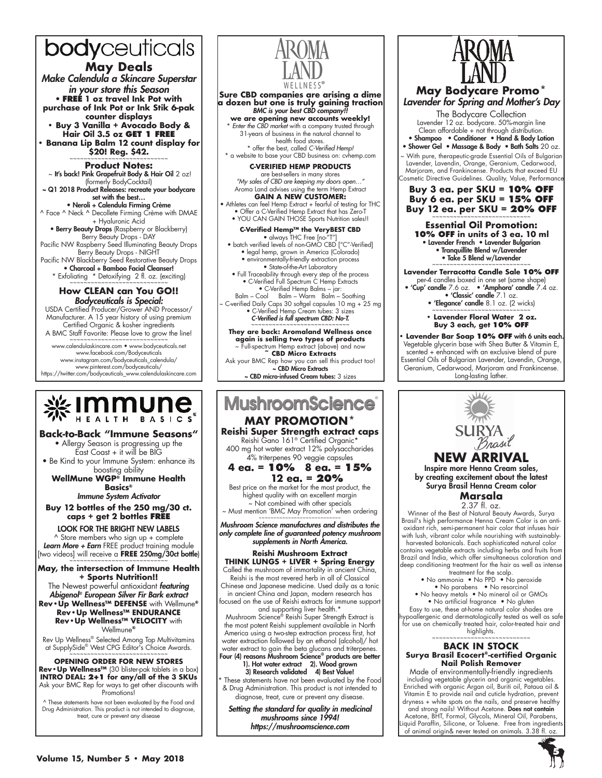# bodyceuticals

# **May Deals**

*Make Calendula a Skincare Superstar in your store this Season* • **FREE 1 oz travel Ink Pot with purchase of Ink Pot or Ink Stik 6-pak counter displays**

**• Buy 3 Vanilla + Avocado Body & Hair Oil 3.5 oz get 1 FREE • Banana Lip Balm 12 count display for** 

\$20! Reg. \$42.

**Product Notes:** ~ It's back! Pink Grapefruit Body & Hair Oil 2 oz!

(formerly BodyCocktail) ~ Q1 2018 Product Releases: recreate your bodycare set with the best…

• Neroli + Calendula Firming Crème ^ Face ^ Neck ^ Decollete Firming Crème with DMAE + Hyaluronic Acid

• Berry Beauty Drops (Raspberry or Blackberry) Berry Beauty Drops - DAY

Pacific NW Raspberry Seed Illuminating Beauty Drops Berry Beauty Drops - NIGHT Pacific NW Blackberry Seed Restorative Beauty Drops

• Charcoal + Bamboo Facial Cleanser! \* Exfoliating \* Detoxifying 2 fl. oz. (exciting) ~~~~~~~~~~~~~~~~~~~~~~~~~~~~

#### **How CLEAN can You GO!!** *Bodyceuticals is Special:*

USDA Certified Producer/Grower AND Processor/ Manufacturer. A 15 year history of using premium Certified Organic & kosher ingredients

A BMC Staff Favorite: Please love to grow the line! ~~~~~~~~~~~~~~~~~~~~~~~~ www.calendulaskincare.com • www.bodyceuticals.net www.facebook.com/Bodyceuticals

www.instagram.com/bodyceuticals\_calendula/ www.pinterest.com/bodyceuticals/ https://twitter.com/bodyceuticals\_www.calendulaskincare.com



**Back-to-Back "Immune Seasons"** • Allergy Season is progressing up the East Coast + it will be BIG

• Be Kind to your Immune System: enhance its boosting ability

**WellMune WGP® Immune Health Basics®**

*Immune System Activator*

**Buy 12 bottles of the 250 mg/30 ct. caps + get 2 bottles free**

LOOK FOR THE BRIGHT NEW LABELS ^ Store members who sign up + complete *Learn More + Earn* FREE product training module [two videos] will receive a **FREE 250mg/30ct bottle**)

**May, the intersection of Immune Health + Sports Nutrition!!** The Newest powerful antioxidant *featuring* 

*Abigenol®* European Silver Fir Bark extract **Rev•Up Wellness™ DEFENSE** with Wellmune**® Rev•Up Wellness™ ENDURANCE Rev•Up Wellness™ VELOCITY** with Wellmune**®**

Rev Up Wellness® Selected Among Top Multivitamins at SupplySide® West CPG Editor<sup>i</sup>s Choice Awards.<br>~~~~~~~~~~~~~~~~~~~~~~~~~~~~~~~

#### **Opening Order for new stores Rev•Up Wellness™** (30 blister-pak tablets in a box) **INTRO DEAL: 2+1 for any/all of the 3 SKUs** Ask your BMC Rep for ways to get other discounts with Promotions!

^ These statements have not been evaluated by the Food and Drug Administration. This product is not intended to diagnose, treat, cure or prevent any disease



#### **Sure CBD companies are arising a dime a dozen but one is truly gaining traction** *BMC is your best CBD company!!*

**we are opening new accounts weekly!** \* *Enter the CBD market* with a company trusted through 31-years of business in the natural channel to health food stores. \* offer the best, called *C-Verified Hemp!*

\* a website to base your CBD business on: cvhemp.com

**C-VERIFIED HEMP PRODUCTS** are best-sellers in many stores *"My sales of CBD are keeping my doors open…"* Aroma Land advises using the term Hemp Extract **GAIN A NEW CUSTOMER:** 

• Athletes can feel Hemp Extract + fearful of testing for THC • Offer a C-Verified Hemp Extract that has Zero-T • YOU CAN GAIN THOSE Sports Nutrition sales!!

**C-Verified Hemp™ the VeryBEST CBD**<br>• always THC Free [no-"T"]<br>• batch verified levels of non-GMO CBD ["C"-Verified] • legal hemp, grown in America (Colorado)

• environmentally-friendly extraction process • State-of-the-Art Laboratory • Full Traceability through every step of the process • C-Verified Full Spectrum C Hemp Extracts • C-Verified Hemp Balms – jar:

Balm – Cool Balm – Warm Balm – Soothing ~ C-verified Daily Caps 30 softgel capsules 10 mg + 25 mg • C-Verified Hemp Cream tubes: 3 sizes *C-Verified is full spectrum CBD: No-T.*

~~~~~~~~~~~~~~~~~~~~~~~~~~~~ **They are back: Aromaland Wellness once again is selling two types of products** ~ Full-spectrum Hemp extract (above) and now **~ CBD Micro Extracts** Ask your BMC Rep how you can sell this product too! ~ CBD Micro Extracts

~ CBD micro-infused Cream tubes: 3 sizes

# **MushroomScience MAY PROMOTION\***

**Reishi Super Strength extract caps** Reishi Gano 161® Certified Organic\* 400 mg hot water extract 12% polysaccharides

#### 4% triterpenes 90 veggie capsules **4 ea. = 10% 8 ea. = 15%**

**12 ea. = 20%** Best price on the market for the most product, the highest quality with an excellent margin .<br>Not combined with other specials

~ Must mention 'BMC May Promotion' when ordering ~~~~~~~~~~~~~~~~~~~~~~~

*Mushroom Science manufactures and distributes the only complete line of guaranteed potency mushroom supplements in North America.*

#### **Reishi Mushroom Extract THINK LUNGS + LIVER + Spring Energy**

Called the mushroom of immortality in ancient Ch Reishi is the most revered herb in all of Classical

Chinese and Japanese medicine. Used daily as a tonic in ancient China and Japan, modern research has focused on the use of Reishi extracts for immune support

and supporting liver health.\* Mushroom Science® Reishi Super Strength Extract is the most potent Reishi supplement available in North America using a two-step extraction process first, hot water extraction followed by an ethanol (alcohol)/ hot water extract to gain the beta glucans and triterpenes. Four (4) reasons Mushroom Science® products are better 1). Hot water extract 2). Wood grown

3) Research validated 4) Best Value!

\* These statements have not been evaluated by the Food & Drug Administration. This product is not intended to diagnose, treat, cure or prevent any disease.

*Setting the standard for quality in medicinal mushrooms since 1994! https://mushroomscience.com*



*Lavender for Spring and Mother's Day* The Bodycare Collection Lavender 12 oz. bodycare. 50%-margin line Clean affordable + not through distribution. • Shampoo • Conditioner • Hand & Body Lotion • Shower Gel • Massage & Body • Bath Salts 20 oz. With pure, therapeutic-grade Essential Oils of Bulgarian

Lavender, Lavendin, Orange, Geranium, Cedarwood, Marjoram, and Frankincense. Products that exceed EU osmetic Directive Guidelines. Quality, Value, Performanc

**Buy 3 ea. per SKU = 10% OFF Buy 6 ea. per SKU = 15% OFF Buy 12 ea. per SKU = 20% OFF** 

**Essential Oil Promotion: 10% OFF in units of 3 ea. 10 ml** • Lavender French • Lavender Bulgarian • Tranquillite Blend w/Lavender • Take 5 Blend w/Lavender

**Lavender Terracotta Candle Sale 10% OFF** per-4 candles boxed in one set (same shape)

• 'Cup' candle 7.6 oz. • 'Amphora' candle 7.4 oz. • 'Classic' candle 7.1 oz.  $\bullet$  'Elegance' candle 8.1 oz. (2 wicks)

> **• Lavender Floral Water 2 oz. Buy 3 each, get 10% OFF**

Lavender Bar Soap 10% OFF with 6 units each Vegetable glycerin base with Shea Butter & Vitamin E, scented + enhanced with an exclusive blend of pure Essential Oils of Bulgarian Lavender, Lavendin, Orange, Geranium, Cedarwood, Marjoram and Frankincense. Long-lasting lather.



# **Surya Brasil Ecocert®-certified Organic Nail Polish Remover**

Made of environmentally-friendly ingredients including vegetable glycerin and organic vegetables. Enriched with organic Argan oil, Buriti oil, Pataua oil & Vitamin E to provide nail and cuticle hydration, prevent dryness + white spots on the nails, and preserve healthy<br>and strong nails! Without Acetone. **Does not contain** 

Acetone, BHT, Formol, Glycols, Mineral Oil, Parabens, Liquid Paraffin, Silicone, or Toluene. Free from ingredients of animal origin& never tested on animals. 3.38 fl. oz.



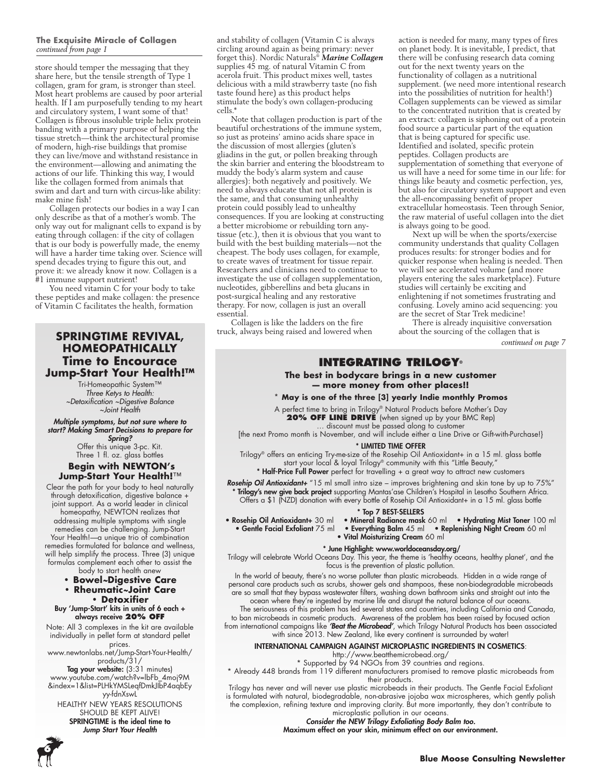#### **The Exquisite Miracle of Collagen**  *continued from page 1*

store should temper the messaging that they share here, but the tensile strength of Type 1 collagen, gram for gram, is stronger than steel. Most heart problems are caused by poor arterial health. If I am purposefully tending to my heart and circulatory system, I want some of that! Collagen is fibrous insoluble triple helix protein banding with a primary purpose of helping the tissue stretch—think the architectural promise of modern, high-rise buildings that promise they can live/move and withstand resistance in the environment—allowing and animating the actions of our life. Thinking this way, I would like the collagen formed from animals that swim and dart and turn with circus-like ability: make mine fish!

Collagen protects our bodies in a way I can only describe as that of a mother's womb. The only way out for malignant cells to expand is by eating through collagen: if the city of collagen that is our body is powerfully made, the enemy will have a harder time taking over. Science will spend decades trying to figure this out, and prove it: we already know it now. Collagen is a #1 immune support nutrient!

You need vitamin C for your body to take these peptides and make collagen: the presence of Vitamin C facilitates the health, formation

#### **SPRINGTIME REVIVAL, HOMEOPATHICALLY Time to Encourace Jump-Start Your Health!™**

Tri-Homeopathic System™ *Three Ketys to Health: ~Detoxification ~Digestive Balance*

*~Joint Health Multiple symptoms, but not sure where to start? Making Smart Decisions to prepare for Spring?*

Offer this unique 3-pc. Kit. Three 1 fl. oz. glass bottles

#### **Begin with NEWTON's Jump-Start Your Health!**™

Clear the path for your body to heal naturally through detoxification, digestive balance + joint support. As a world leader in clinical homeopathy, NEWTON realizes that addressing multiple symptoms with single remedies can be challenging. Jump-Start Your Health!—a unique trio of combination remedies formulated for balance and wellness, will help simplify the process. Three (3) unique formulas complement each other to assist the body to start health anew

- **Bowel***~***Digestive Care**
- **Rheumatic***~***Joint Care**
- **Detoxifier**  Buy 'Jump-Start' kits in units of 6 each + always receive **20% OFF**

Note: All 3 complexes in the kit are available individually in pellet form at standard pellet

prices. www.newtonlabs.net/Jump-Start-Your-Health/ products/31/

**Tag your website:** (3:31 minutes) www.youtube.com/watch?v=lbFb\_4moj9M &index=1&list=PLHkYMSLeqfDmkJIbP4aqbEy yy-fdnXswL HEALTHY NEW YEARS RESOLUTIONS

SHOULD BE KEPT ALIVE! SPRINGTIME is the ideal time to Jump Start Your Health



and stability of collagen (Vitamin C is always circling around again as being primary: never forget this). Nordic Naturals® *Marine Collagen* supplies 45 mg. of natural Vitamin C from acerola fruit. This product mixes well, tastes delicious with a mild strawberry taste (no fish taste found here) as this product helps stimulate the body's own collagen-producing cells.\*

Note that collagen production is part of the beautiful orchestrations of the immune system, so just as proteins' amino acids share space in the discussion of most allergies (gluten's gliadins in the gut, or pollen breaking through the skin barrier and entering the bloodstream to muddy the body's alarm system and cause allergies): both negatively and positively. We need to always educate that not all protein is the same, and that consuming unhealthy protein could possibly lead to unhealthy consequences. If you are looking at constructing a better microbiome or rebuilding torn anytissue (etc.), then it is obvious that you want to build with the best building materials—not the cheapest. The body uses collagen, for example, to create waves of treatment for tissue repair. Researchers and clinicians need to continue to investigate the use of collagen supplementation, nucleotides, gibberellins and beta glucans in post-surgical healing and any restorative therapy. For now, collagen is just an overall essential.

Collagen is like the ladders on the fire truck, always being raised and lowered when

action is needed for many, many types of fires on planet body. It is inevitable, I predict, that there will be confusing research data coming out for the next twenty years on the functionality of collagen as a nutritional supplement. (we need more intentional research into the possibilities of nutrition for health!) Collagen supplements can be viewed as similar to the concentrated nutrition that is created by an extract: collagen is siphoning out of a protein food source a particular part of the equation that is being captured for specific use. Identified and isolated, specific protein peptides. Collagen products are supplementation of something that everyone of us will have a need for some time in our life: for things like beauty and cosmetic perfection, yes, but also for circulatory system support and even the all-encompassing benefit of proper extracellular homeostasis. Teen through Senior, the raw material of useful collagen into the diet is always going to be good.

Next up will be when the sports/exercise community understands that quality Collagen produces results: for stronger bodies and for quicker response when healing is needed. Then we will see accelerated volume (and more players entering the sales marketplace). Future studies will certainly be exciting and enlightening if not sometimes frustrating and confusing. Lovely amino acid sequencing: you are the secret of Star Trek medicine!

There is already inquisitive conversation about the sourcing of the collagen that is

*continued on page 7*

#### **Integrating Trilogy®**

#### **The best in bodycare brings in a new customer — more money from other places!!**

**\* May is one of the three [3] yearly Indie monthly Promos**

A perfect time to bring in Trilogy® Natural Products before Mother's Day **20% OFF LINE DRIVE** (when signed up by your BMC Rep)

… discount must be passed along to customer [the next Promo month is November, and will include either a Line Drive or Gift-with-Purchase!}

\* LIMITED TIME OFFER

Trilogy® offers an enticing Try-me-size of the Rosehip Oil Antioxidant+ in a 15 ml. glass bottle start your local & loyal Trilogy® community with this "Little Beauty," \* Half-Price Full Power perfect for travelling + a great way to attract new customers

**Rosehip Oil Antioxidant+** "15 ml small intro size – improves brightening and skin tone by up to 75%" \* Trilogy's new give back project supporting Mantas'ase Children's Hospital in Lesotho Southern Africa. Offers a \$1 (NZD) donation with every bottle of Rosehip Oil Antioxidant+ in a 15 ml. glass bottle

#### \* Top 7 BEST-SELLERS

- 
- 
- Rosehip Oil Antioxidant+ 30 ml Mineral Radiance mask 60 ml Hydrating Mist Toner 100 ml • Everything Balm 45 ml • Replenishing Night Cream 60 ml • Vital Moisturizing Cream 60 ml
	-

#### \* June Highlight: www.worldoceansday.org/

Trilogy will celebrate World Oceans Day. This year, the theme is 'healthy oceans, healthy planet', and the focus is the prevention of plastic pollution.

In the world of beauty, there's no worse polluter than plastic microbeads. Hidden in a wide range of personal care products such as scrubs, shower gels and shampoos, these non-biodegradable microbeads are so small that they bypass wastewater filters, washing down bathroom sinks and straight out into the ocean where they're ingested by marine life and disrupt the natural balance of our oceans.

The seriousness of this problem has led several states and countries, including California and Canada, to ban microbeads in cosmetic products. Awareness of the problem has been raised by focused action from international campaigns like *'Beat the Microbead'*, which Trilogy Natural Products has been associated with since 2013. New Zealand, like every continent is surrounded by water!

#### INTERNATIONAL CAMPAIGN AGAINST MICROPLASTIC INGREDIENTS IN COSMETICS:

http://www.beatthemicrobead.org/

\* Supported by 94 NGOs from 39 countries and regions.

\* Already 448 brands from 119 different manufacturers promised to remove plastic microbeads from their products.

Trilogy has never and will never use plastic microbeads in their products. The Gentle Facial Exfoliant is formulated with natural, biodegradable, non-abrasive jojoba wax microspheres, which gently polish the complexion, refining texture and improving clarity. But more importantly, they don't contribute to microplastic pollution in our oceans.

#### Consider the NEW Trilogy Exfoliating Body Balm too.

Maximum effect on your skin, minimum effect on our environment.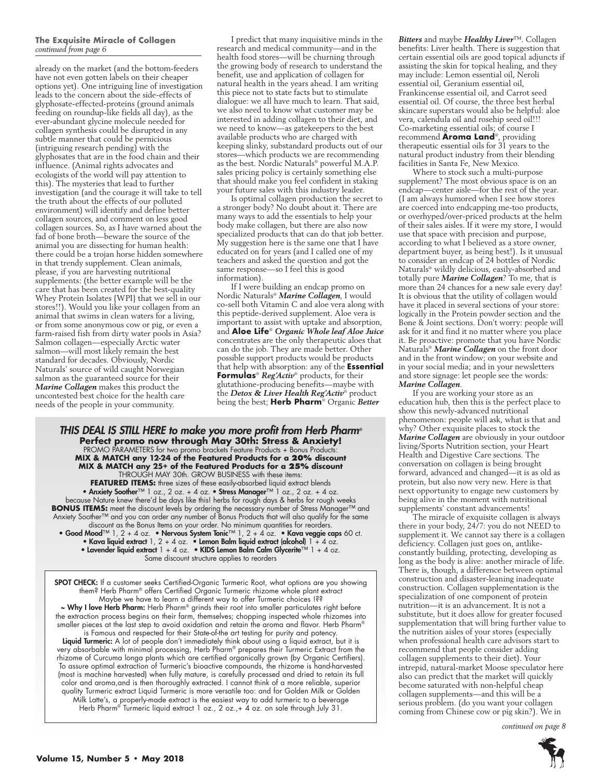#### **The Exquisite Miracle of Collagen**  *continued from page 6*

already on the market (and the bottom-feeders have not even gotten labels on their cheaper options yet). One intriguing line of investigation leads to the concern about the side-effects of glyphosate-effected-proteins (ground animals feeding on roundup-like fields all day), as the ever-abundant glycine molecule needed for collagen synthesis could be disrupted in any subtle manner that could be pernicious (intriguing research pending) with the glyphosates that are in the food chain and their influence. (Animal rights advocates and ecologists of the world will pay attention to this). The mysteries that lead to further investigation (and the courage it will take to tell the truth about the effects of our polluted environment) will identify and define better collagen sources, and comment on less good collagen sources. So, as I have warned about the fad of bone broth—beware the source of the animal you are dissecting for human health: there could be a trojan horse hidden somewhere in that trendy supplement. Clean animals, please, if you are harvesting nutritional supplements: (the better example will be the care that has been created for the best-quality Whey Protein Isolates {WPI} that we sell in our stores!!). Would you like your collagen from an animal that swims in clean waters for a living, or from some anonymous cow or pig, or even a farm-raised fish from dirty water pools in Asia? Salmon collagen—especially Arctic water salmon—will most likely remain the best standard for decades. Obviously, Nordic Naturals' source of wild caught Norwegian salmon as the guaranteed source for their *Marine Collagen* makes this product the uncontested best choice for the health care needs of the people in your community.

I predict that many inquisitive minds in the research and medical community—and in the health food stores—will be churning through the growing body of research to understand the benefit, use and application of collagen for natural health in the years ahead. I am writing this piece not to state facts but to stimulate dialogue: we all have much to learn. That said, we also need to know what customer may be interested in adding collagen to their diet, and we need to know—as gatekeepers to the best available products who are charged with keeping slinky, substandard products out of our stores—which products we are recommending as the best. Nordic Naturals® powerful M.A.P. sales pricing policy is certainly something else that should make you feel confident in staking your future sales with this industry leader.

Is optimal collagen production the secret to a stronger body? No doubt about it. There are many ways to add the essentials to help your body make collagen, but there are also now specialized products that can do that job better. My suggestion here is the same one that I have educated on for years (and I called one of my teachers and asked the question and got the same response—so I feel this is good information).

If I were building an endcap promo on Nordic Naturals® *Marine Collagen*, I would co-sell both Vitamin C and aloe vera along with this peptide-derived supplement. Aloe vera is important to assist with uptake and absorption, and **Aloe Life**® *Organic Whole leaf Aloe Juice*  concentrates are the only therapeutic aloes that can do the job. They are made better. Other possible support products would be products that help with absorption: any of the **Essential Formulas**® *Reg'Activ*® products, for their glutathione-producing benefits—maybe with the *Detox & Liver Health Reg'Activ*® product being the best; **Herb Pharm**® Organic *Better* 

THIS DEAL IS STILL HERE to make you more profit from Herb Pharm*®* **Perfect promo now through May 30th: Stress & Anxiety!**<br>PROMO PARAMETERS for two promo brackets Feature Products + Bonus Products: **MIX & MATCH any 12-24 of the Featured Products for a 20% discount MIX & MATCH any 25+ of the Featured Products for a 25% discount**  THROUGH MAY 30th. GROW BUSINESS with these items:

**FEATURED ITEMS:** three sizes of these easily-absorbed liquid extract blends • Anxiety Soother™ 1 oz., 2 oz. + 4 oz. • Stress Manager™ 1 oz., 2 oz. + 4 oz. because Nature knew there'd be days like this! herbs for rough days & herbs for rough weeks **BONUS ITEMS:** meet the discount levels by ordering the necessary number of Stress Manager™ and Anxiety Soother™ and you can order any number of Bonus Products that will also qualify for the same discount as the Bonus Items on your order. No minimum quantities for reorders. • Good Mood™ 1, 2 + 4 oz. • Nervous System Tonic™ 1, 2 + 4 oz. • Kava veggie caps 60 ct.

• Kava liquid extract 1, 2 + 4 oz. • Lemon Balm liquid extract (alcohol)  $1 + 4$  oz. • Lavender liquid extract 1 + 4 oz. • KIDS Lemon Balm Calm Glycerite™ 1 + 4 oz. Same discount structure applies to reorders

SPOT CHECK: If a customer seeks Certified-Organic Turmeric Root, what options are you showing them? Herb Pharm® offers Certified Organic Turmeric rhizome whole plant extract Maybe we have to learn a different way to offer Turmeric choices !?? ~ Why I love Herb Pharm: Herb Pharm® grinds their root into smaller particulates right before the extraction process begins on their farm, themselves; chopping inspected whole rhizomes into smaller pieces at the last step to avoid oxidation and retain the aroma and flavor. Herb Pharm® is Famous and respected for their State-of-the art testing for purity and potency. Liquid Turmeric: A lot of people don't immediately think about using a liquid extract, but it is very absorbable with minimal processing, Herb Pharm® prepares their Turmeric Extract from the rhizome of Curcuma longa plants which are certified organically grown (by Organic Certifiers). To assure optimal extraction of Turmeric's bioactive compounds, the rhizome is hand-harvested (most is machine harvested) when fully mature, is carefully processed and dried to retain its full color and aroma,and is then thoroughly extracted. I cannot think of a more reliable, superior quality Turmeric extract Liquid Turmeric is more versatile too: and for Golden Milk or Golden Milk Latte's, a properly-made extract is the easiest way to add turmeric to a beverage Herb Pharm® Turmeric liquid extract 1 oz., 2 oz.,+ 4 oz. on sale through July 31.

*Bitters* and maybe *Healthy Liver*™. Collagen benefits: Liver health. There is suggestion that certain essential oils are good topical adjuncts if assisting the skin for topical healing, and they may include: Lemon essential oil, Neroli essential oil, Geranium essential oil, Frankincense essential oil, and Carrot seed essential oil. Of course, the three best herbal skincare superstars would also be helpful: aloe vera, calendula oil and rosehip seed oil!!! Co-marketing essential oils; of course I recommend **Aroma Land**®, providing therapeutic essential oils for 31 years to the natural product industry from their blending facilities in Santa Fe, New Mexico.

Where to stock such a multi-purpose supplement? The most obvious space is on an endcap—center aisle—for the rest of the year. (I am always humored when I see how stores are coerced into endcapping me-too products, or overhyped/over-priced products at the helm of their sales aisles. If it were my store, I would use that space with precision and purpose, according to what I believed as a store owner, department buyer, as being best!). Is it unusual to consider an endcap of 24 bottles of Nordic Naturals® wildly delicious, easily-absorbed and totally pure *Marine Collagen*? To me, that is more than 24 chances for a new sale every day! It is obvious that the utility of collagen would have it placed in several sections of your store: logically in the Protein powder section and the Bone & Joint sections. Don't worry: people will ask for it and find it no matter where you place it. Be proactive: promote that you have Nordic Naturals® *Marine Collagen* on the front door and in the front window; on your website and in your social media; and in your newsletters and store signage: let people see the words: *Marine Collagen*.

If you are working your store as an education hub, then this is the perfect place to show this newly-advanced nutritional phenomenon: people will ask, what is that and why? Other exquisite places to stock the *Marine Collagen* are obviously in your outdoor living/Sports Nutrition section, your Heart Health and Digestive Care sections. The conversation on collagen is being brought forward, advanced and changed—it is as old as protein, but also now very new. Here is that next opportunity to engage new customers by being alive in the moment with nutritional supplements' constant advancements!

The miracle of exquisite collagen is always there in your body, 24/7: you do not NEED to supplement it. We cannot say there is a collagen deficiency. Collagen just goes on, antlikeconstantly building, protecting, developing as long as the body is alive: another miracle of life. There is, though, a difference between optimal construction and disaster-leaning inadequate construction. Collagen supplementation is the specialization of one component of protein nutrition—it is an advancement. It is not a substitute, but it does allow for greater focused supplementation that will bring further value to the nutrition aisles of your stores (especially when professional health care advisors start to recommend that people consider adding collagen supplements to their diet). Your intrepid, natural-market Moose speculator here also can predict that the market will quickly become saturated with non-helpful cheap collagen supplements—and this will be a serious problem. (do you want your collagen coming from Chinese cow or pig skin?). We in

*continued on page 8*